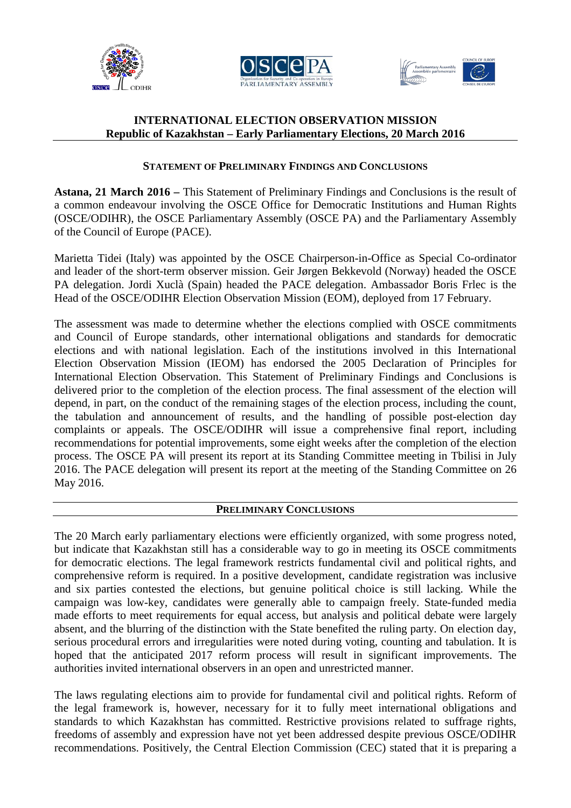





# **INTERNATIONAL ELECTION OBSERVATION MISSION Republic of Kazakhstan – Early Parliamentary Elections, 20 March 2016**

# **STATEMENT OF PRELIMINARY FINDINGS AND CONCLUSIONS**

**Astana, 21 March 2016 –** This Statement of Preliminary Findings and Conclusions is the result of a common endeavour involving the OSCE Office for Democratic Institutions and Human Rights (OSCE/ODIHR), the OSCE Parliamentary Assembly (OSCE PA) and the Parliamentary Assembly of the Council of Europe (PACE).

Marietta Tidei (Italy) was appointed by the OSCE Chairperson-in-Office as Special Co-ordinator and leader of the short-term observer mission. Geir Jørgen Bekkevold (Norway) headed the OSCE PA delegation. Jordi Xuclà (Spain) headed the PACE delegation. Ambassador Boris Frlec is the Head of the OSCE/ODIHR Election Observation Mission (EOM), deployed from 17 February.

The assessment was made to determine whether the elections complied with OSCE commitments and Council of Europe standards, other international obligations and standards for democratic elections and with national legislation. Each of the institutions involved in this International Election Observation Mission (IEOM) has endorsed the 2005 Declaration of Principles for International Election Observation. This Statement of Preliminary Findings and Conclusions is delivered prior to the completion of the election process. The final assessment of the election will depend, in part, on the conduct of the remaining stages of the election process, including the count, the tabulation and announcement of results, and the handling of possible post-election day complaints or appeals. The OSCE/ODIHR will issue a comprehensive final report, including recommendations for potential improvements, some eight weeks after the completion of the election process. The OSCE PA will present its report at its Standing Committee meeting in Tbilisi in July 2016. The PACE delegation will present its report at the meeting of the Standing Committee on 26 May 2016.

### **PRELIMINARY CONCLUSIONS**

The 20 March early parliamentary elections were efficiently organized, with some progress noted, but indicate that Kazakhstan still has a considerable way to go in meeting its OSCE commitments for democratic elections. The legal framework restricts fundamental civil and political rights, and comprehensive reform is required. In a positive development, candidate registration was inclusive and six parties contested the elections, but genuine political choice is still lacking. While the campaign was low-key, candidates were generally able to campaign freely. State-funded media made efforts to meet requirements for equal access, but analysis and political debate were largely absent, and the blurring of the distinction with the State benefited the ruling party. On election day, serious procedural errors and irregularities were noted during voting, counting and tabulation. It is hoped that the anticipated 2017 reform process will result in significant improvements. The authorities invited international observers in an open and unrestricted manner.

The laws regulating elections aim to provide for fundamental civil and political rights. Reform of the legal framework is, however, necessary for it to fully meet international obligations and standards to which Kazakhstan has committed. Restrictive provisions related to suffrage rights, freedoms of assembly and expression have not yet been addressed despite previous OSCE/ODIHR recommendations. Positively, the Central Election Commission (CEC) stated that it is preparing a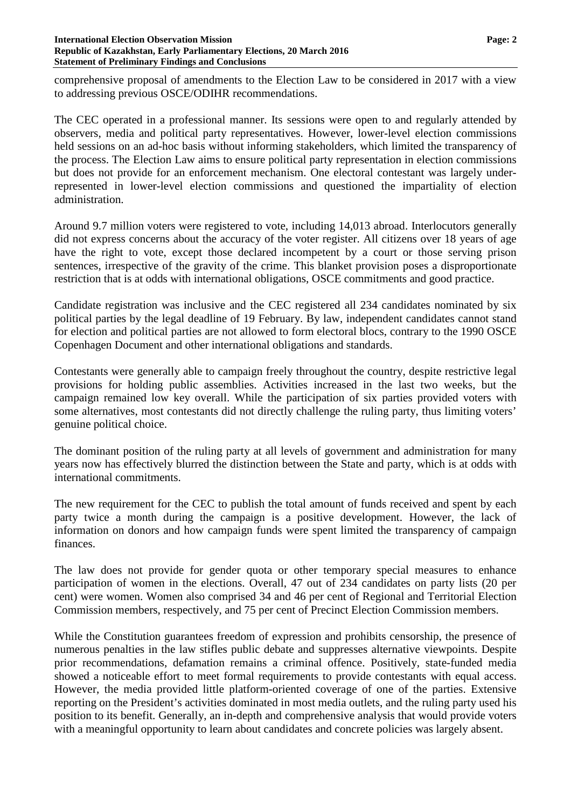#### **International Election Observation Mission Page: 2 Republic of Kazakhstan, Early Parliamentary Elections, 20 March 2016 Statement of Preliminary Findings and Conclusions**

comprehensive proposal of amendments to the Election Law to be considered in 2017 with a view to addressing previous OSCE/ODIHR recommendations.

The CEC operated in a professional manner. Its sessions were open to and regularly attended by observers, media and political party representatives. However, lower-level election commissions held sessions on an ad-hoc basis without informing stakeholders, which limited the transparency of the process. The Election Law aims to ensure political party representation in election commissions but does not provide for an enforcement mechanism. One electoral contestant was largely underrepresented in lower-level election commissions and questioned the impartiality of election administration.

Around 9.7 million voters were registered to vote, including 14,013 abroad. Interlocutors generally did not express concerns about the accuracy of the voter register. All citizens over 18 years of age have the right to vote, except those declared incompetent by a court or those serving prison sentences, irrespective of the gravity of the crime. This blanket provision poses a disproportionate restriction that is at odds with international obligations, OSCE commitments and good practice.

Candidate registration was inclusive and the CEC registered all 234 candidates nominated by six political parties by the legal deadline of 19 February. By law, independent candidates cannot stand for election and political parties are not allowed to form electoral blocs, contrary to the 1990 OSCE Copenhagen Document and other international obligations and standards.

Contestants were generally able to campaign freely throughout the country, despite restrictive legal provisions for holding public assemblies. Activities increased in the last two weeks, but the campaign remained low key overall. While the participation of six parties provided voters with some alternatives, most contestants did not directly challenge the ruling party, thus limiting voters' genuine political choice.

The dominant position of the ruling party at all levels of government and administration for many years now has effectively blurred the distinction between the State and party, which is at odds with international commitments.

The new requirement for the CEC to publish the total amount of funds received and spent by each party twice a month during the campaign is a positive development. However, the lack of information on donors and how campaign funds were spent limited the transparency of campaign finances.

The law does not provide for gender quota or other temporary special measures to enhance participation of women in the elections. Overall, 47 out of 234 candidates on party lists (20 per cent) were women. Women also comprised 34 and 46 per cent of Regional and Territorial Election Commission members, respectively, and 75 per cent of Precinct Election Commission members.

While the Constitution guarantees freedom of expression and prohibits censorship, the presence of numerous penalties in the law stifles public debate and suppresses alternative viewpoints. Despite prior recommendations, defamation remains a criminal offence. Positively, state-funded media showed a noticeable effort to meet formal requirements to provide contestants with equal access. However, the media provided little platform-oriented coverage of one of the parties. Extensive reporting on the President's activities dominated in most media outlets, and the ruling party used his position to its benefit. Generally, an in-depth and comprehensive analysis that would provide voters with a meaningful opportunity to learn about candidates and concrete policies was largely absent.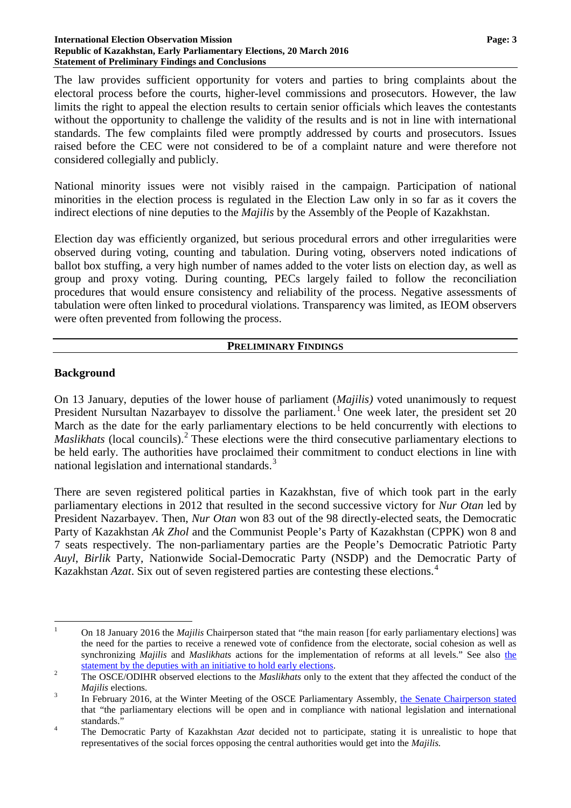#### **International Election Observation Mission Page: 3 Republic of Kazakhstan, Early Parliamentary Elections, 20 March 2016 Statement of Preliminary Findings and Conclusions**

The law provides sufficient opportunity for voters and parties to bring complaints about the electoral process before the courts, higher-level commissions and prosecutors. However, the law limits the right to appeal the election results to certain senior officials which leaves the contestants without the opportunity to challenge the validity of the results and is not in line with international standards. The few complaints filed were promptly addressed by courts and prosecutors. Issues raised before the CEC were not considered to be of a complaint nature and were therefore not considered collegially and publicly.

National minority issues were not visibly raised in the campaign. Participation of national minorities in the election process is regulated in the Election Law only in so far as it covers the indirect elections of nine deputies to the *Majilis* by the Assembly of the People of Kazakhstan.

Election day was efficiently organized, but serious procedural errors and other irregularities were observed during voting, counting and tabulation. During voting, observers noted indications of ballot box stuffing, a very high number of names added to the voter lists on election day, as well as group and proxy voting. During counting, PECs largely failed to follow the reconciliation procedures that would ensure consistency and reliability of the process. Negative assessments of tabulation were often linked to procedural violations. Transparency was limited, as IEOM observers were often prevented from following the process.

### **PRELIMINARY FINDINGS**

### **Background**

On 13 January, deputies of the lower house of parliament (*Majilis)* voted unanimously to request President Nursultan Nazarbayev to dissolve the parliament.<sup>[1](#page-2-0)</sup> One week later, the president set 20 March as the date for the early parliamentary elections to be held concurrently with elections to *Maslikhats* (local councils).<sup>[2](#page-2-1)</sup> These elections were the third consecutive parliamentary elections to be held early. The authorities have proclaimed their commitment to conduct elections in line with national legislation and international standards.<sup>[3](#page-2-2)</sup>

There are seven registered political parties in Kazakhstan, five of which took part in the early parliamentary elections in 2012 that resulted in the second successive victory for *Nur Otan* led by President Nazarbayev. Then, *Nur Otan* won 83 out of the 98 directly-elected seats, the Democratic Party of Kazakhstan *Ak Zhol* and the Communist People's Party of Kazakhstan (CPPK) won 8 and 7 seats respectively. The non-parliamentary parties are the People's Democratic Patriotic Party *Auyl*, *Birlik* Party, Nationwide Social-Democratic Party (NSDP) and the Democratic Party of Kazakhstan *Azat*. Six out of seven registered parties are contesting these elections.[4](#page-2-3)

<span id="page-2-0"></span><sup>&</sup>lt;sup>1</sup> On 18 January 2016 the *Majilis* Chairperson stated that "the main reason [for early parliamentary elections] was the need for the parties to receive a renewed vote of confidence from the electorate, social cohesion as well as synchronizing *Majilis* and *Maslikhats* actions for the implementation of reforms at all levels." See also [the](https://strategy2050.kz/en/news/30435) <sup>2</sup> Statement by the deputies with an initiative to hold early elections.<br><sup>2</sup> The OSCE/ODIHR observed elections to the *Maslikhats* only to the extent that they affected the conduct of the

<span id="page-2-1"></span>

<span id="page-2-2"></span>*Majilis* elections.<br><sup>3</sup> In February 2016, at the Winter Meeting of the OSCE Parliamentary Assembly, the Senate [Chairperson](http://www.inform.kz/rus/article/2875045) stated that "the parliamentary elections will be open and in compliance with national legislation and international standards." <sup>4</sup> The Democratic Party of Kazakhstan *Azat* decided not to participate, stating it is unrealistic to hope that

<span id="page-2-3"></span>representatives of the social forces opposing the central authorities would get into the *Majilis.*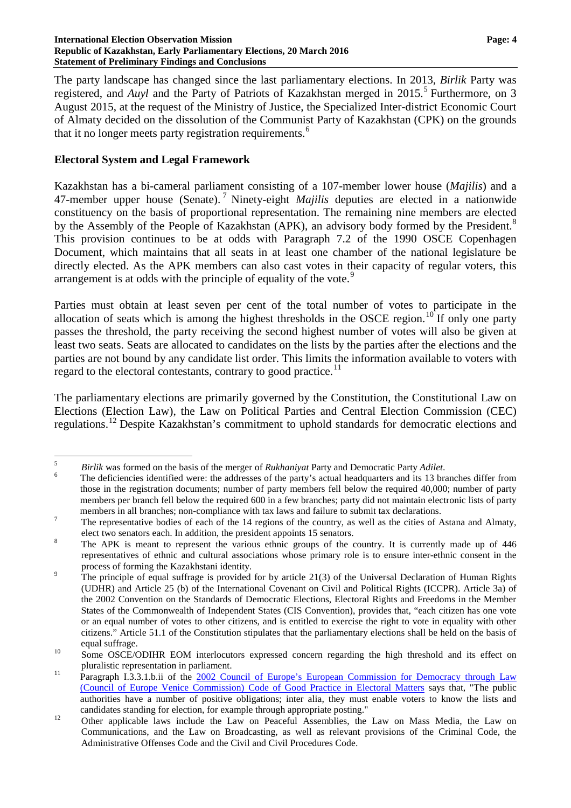#### **International Election Observation Mission Page: 4 Republic of Kazakhstan, Early Parliamentary Elections, 20 March 2016 Statement of Preliminary Findings and Conclusions**

The party landscape has changed since the last parliamentary elections. In 2013, *Birlik* Party was registered, and *Auyl* and the Party of Patriots of Kazakhstan merged in 201[5](#page-3-0).<sup>5</sup> Furthermore, on 3 August 2015, at the request of the Ministry of Justice, the Specialized Inter-district Economic Court of Almaty decided on the dissolution of the Communist Party of Kazakhstan (CPK) on the grounds that it no longer meets party registration requirements.<sup>[6](#page-3-1)</sup>

### **Electoral System and Legal Framework**

Kazakhstan has a bi-cameral parliament consisting of a 107-member lower house (*Majilis*) and a 47-member upper house (Senate). [7](#page-3-2) Ninety-eight *Majilis* deputies are elected in a nationwide constituency on the basis of proportional representation. The remaining nine members are elected by the Assembly of the People of Kazakhstan (APK), an advisory body formed by the President.<sup>[8](#page-3-3)</sup> This provision continues to be at odds with Paragraph 7.2 of the 1990 OSCE Copenhagen Document, which maintains that all seats in at least one chamber of the national legislature be directly elected. As the APK members can also cast votes in their capacity of regular voters, this arrangement is at odds with the principle of equality of the vote.<sup>[9](#page-3-4)</sup>

Parties must obtain at least seven per cent of the total number of votes to participate in the allocation of seats which is among the highest thresholds in the OSCE region.<sup>[10](#page-3-5)</sup> If only one party passes the threshold, the party receiving the second highest number of votes will also be given at least two seats. Seats are allocated to candidates on the lists by the parties after the elections and the parties are not bound by any candidate list order. This limits the information available to voters with regard to the electoral contestants, contrary to good practice.<sup>[11](#page-3-6)</sup>

The parliamentary elections are primarily governed by the Constitution, the Constitutional Law on Elections (Election Law), the Law on Political Parties and Central Election Commission (CEC) regulations.[12](#page-3-7) Despite Kazakhstan's commitment to uphold standards for democratic elections and

<span id="page-3-1"></span>

<span id="page-3-0"></span><sup>&</sup>lt;sup>5</sup> *Birlik* was formed on the basis of the merger of *Rukhaniyat* Party and Democratic Party *Adilet*.<br><sup>6</sup> The deficiencies identified were: the addresses of the party's actual headquarters and its 13 branches differ fro those in the registration documents; number of party members fell below the required 40,000; number of party members per branch fell below the required 600 in a few branches; party did not maintain electronic lists of party

<span id="page-3-2"></span>members in all branches; non-compliance with tax laws and failure to submit tax declarations.<br>The representative bodies of each of the 14 regions of the country, as well as the cities of Astana and Almaty,

<span id="page-3-3"></span>elect two senators each. In addition, the president appoints 15 senators.<br><sup>8</sup> The APK is meant to represent the various ethnic groups of the country. It is currently made up of 446 representatives of ethnic and cultural associations whose primary role is to ensure inter-ethnic consent in the

<span id="page-3-4"></span><sup>&</sup>lt;sup>9</sup> The principle of equal suffrage is provided for by article 21(3) of the Universal Declaration of Human Rights (UDHR) and Article 25 (b) of the International Covenant on Civil and Political Rights (ICCPR). Article 3a) of the 2002 Convention on the Standards of Democratic Elections, Electoral Rights and Freedoms in the Member States of the Commonwealth of Independent States (CIS Convention), provides that, "each citizen has one vote or an equal number of votes to other citizens, and is entitled to exercise the right to vote in equality with other citizens." Article 51.1 of the Constitution stipulates that the parliamentary elections shall be held on the basis of equal suffrage.<br><sup>10</sup> Some OSCE/ODIHR EOM interlocutors expressed concern regarding the high threshold and its effect on

<span id="page-3-5"></span>

<span id="page-3-6"></span>pluralistic representation in parliament.<br><sup>11</sup> Paragraph I.3.3.1.b.ii of the 2002 Council of Europe's European [Commission](http://www.venice.coe.int/webforms/documents/default.aspx?pdffile=CDL-AD(2002)023rev-e) for Democracy through Law (Council of Europe Venice [Commission\)](http://www.venice.coe.int/webforms/documents/default.aspx?pdffile=CDL-AD(2002)023rev-e) Code of Good Practice in Electoral Matters says that, "The public authorities have a number of positive obligations; inter alia, they must enable voters to know the lists and

<span id="page-3-7"></span>candidates standing for election, for example through appropriate posting."<br>
Other applicable laws include the Law on Peaceful Assemblies, the Law on Mass Media, the Law on Communications, and the Law on Broadcasting, as well as relevant provisions of the Criminal Code, the Administrative Offenses Code and the Civil and Civil Procedures Code.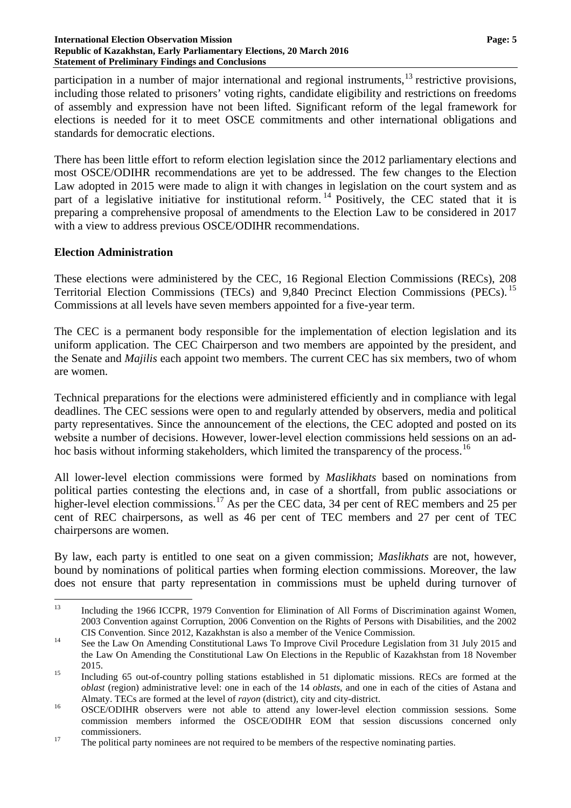#### **International Election Observation Mission Page: 5 Republic of Kazakhstan, Early Parliamentary Elections, 20 March 2016 Statement of Preliminary Findings and Conclusions**

participation in a number of major international and regional instruments,<sup>[13](#page-4-0)</sup> restrictive provisions, including those related to prisoners' voting rights, candidate eligibility and restrictions on freedoms of assembly and expression have not been lifted. Significant reform of the legal framework for elections is needed for it to meet OSCE commitments and other international obligations and standards for democratic elections.

There has been little effort to reform election legislation since the 2012 parliamentary elections and most OSCE/ODIHR recommendations are yet to be addressed. The few changes to the Election Law adopted in 2015 were made to align it with changes in legislation on the court system and as part of a legislative initiative for institutional reform.<sup>[14](#page-4-1)</sup> Positively, the CEC stated that it is preparing a comprehensive proposal of amendments to the Election Law to be considered in 2017 with a view to address previous OSCE/ODIHR recommendations.

## **Election Administration**

These elections were administered by the CEC, 16 Regional Election Commissions (RECs), 208 Territorial Election Commissions (TECs) and 9,840 Precinct Election Commissions (PECs).<sup>[15](#page-4-2)</sup> Commissions at all levels have seven members appointed for a five-year term.

The CEC is a permanent body responsible for the implementation of election legislation and its uniform application. The CEC Chairperson and two members are appointed by the president, and the Senate and *Majilis* each appoint two members. The current CEC has six members, two of whom are women.

Technical preparations for the elections were administered efficiently and in compliance with legal deadlines. The CEC sessions were open to and regularly attended by observers, media and political party representatives. Since the announcement of the elections, the CEC adopted and posted on its website a number of decisions. However, lower-level election commissions held sessions on an ad-hoc basis without informing stakeholders, which limited the transparency of the process.<sup>[16](#page-4-3)</sup>

All lower-level election commissions were formed by *Maslikhats* based on nominations from political parties contesting the elections and, in case of a shortfall, from public associations or higher-level election commissions.<sup>[17](#page-4-4)</sup> As per the CEC data, 34 per cent of REC members and 25 per cent of REC chairpersons, as well as 46 per cent of TEC members and 27 per cent of TEC chairpersons are women.

By law, each party is entitled to one seat on a given commission; *Maslikhats* are not, however, bound by nominations of political parties when forming election commissions. Moreover, the law does not ensure that party representation in commissions must be upheld during turnover of

<span id="page-4-0"></span><sup>&</sup>lt;sup>13</sup> Including the 1966 ICCPR, 1979 Convention for Elimination of All Forms of Discrimination against Women, 2003 Convention against Corruption, 2006 Convention on the Rights of Persons with Disabilities, and the 2002

<span id="page-4-1"></span>CIS Convention. Since 2012, Kazakhstan is also a member of the Venice Commission.<br><sup>14</sup> See the Law On Amending Constitutional Laws To Improve Civil Procedure Legislation from 31 July 2015 and the Law On Amending the Constitutional Law On Elections in the Republic of Kazakhstan from 18 November

<span id="page-4-2"></span><sup>2015.&</sup>lt;br>Including 65 out-of-country polling stations established in 51 diplomatic missions. RECs are formed at the *oblast* (region) administrative level: one in each of the 14 *oblasts*, and one in each of the cities of Astana and

<span id="page-4-3"></span>Almaty. TECs are formed at the level of *rayon* (district), city and city-district.<br><sup>16</sup> OSCE/ODIHR observers were not able to attend any lower-level election commission sessions. Some commission members informed the OSCE/ODIHR EOM that session discussions concerned only

<span id="page-4-4"></span>commissioners.<br><sup>17</sup> The political party nominees are not required to be members of the respective nominating parties.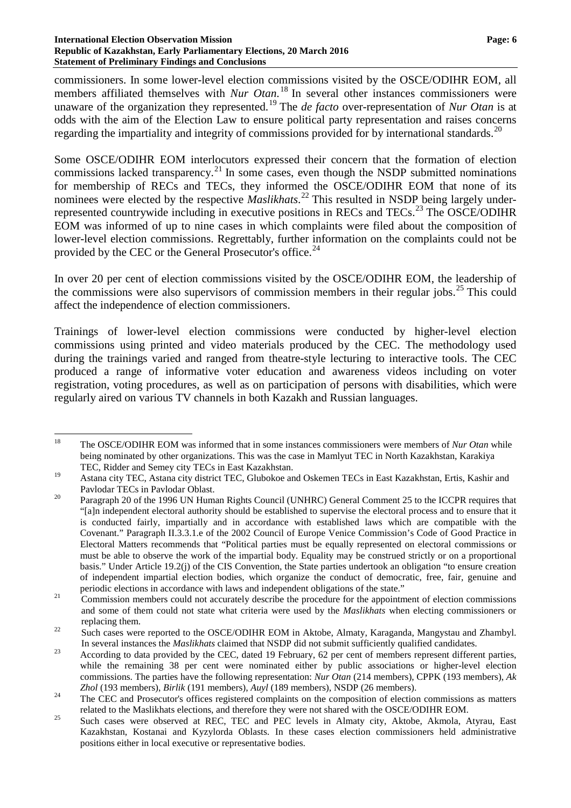#### **International Election Observation Mission Page: 6 Republic of Kazakhstan, Early Parliamentary Elections, 20 March 2016 Statement of Preliminary Findings and Conclusions**

commissioners. In some lower-level election commissions visited by the OSCE/ODIHR EOM, all members affiliated themselves with *Nur Otan*. [18](#page-5-0) In several other instances commissioners were unaware of the organization they represented.[19](#page-5-1) The *de facto* over-representation of *Nur Otan* is at odds with the aim of the Election Law to ensure political party representation and raises concerns regarding the impartiality and integrity of commissions provided for by international standards.<sup>[20](#page-5-2)</sup>

Some OSCE/ODIHR EOM interlocutors expressed their concern that the formation of election commissions lacked transparency.<sup>[21](#page-5-3)</sup> In some cases, even though the NSDP submitted nominations for membership of RECs and TECs, they informed the OSCE/ODIHR EOM that none of its nominees were elected by the respective *Maslikhats*. [22](#page-5-4) This resulted in NSDP being largely under-represented countrywide including in executive positions in RECs and TECs.<sup>[23](#page-5-5)</sup> The OSCE/ODIHR EOM was informed of up to nine cases in which complaints were filed about the composition of lower-level election commissions. Regrettably, further information on the complaints could not be provided by the CEC or the General Prosecutor's office.<sup>[24](#page-5-6)</sup>

In over 20 per cent of election commissions visited by the OSCE/ODIHR EOM, the leadership of the commissions were also supervisors of commission members in their regular jobs.<sup>[25](#page-5-7)</sup> This could affect the independence of election commissioners.

Trainings of lower-level election commissions were conducted by higher-level election commissions using printed and video materials produced by the CEC. The methodology used during the trainings varied and ranged from theatre-style lecturing to interactive tools. The CEC produced a range of informative voter education and awareness videos including on voter registration, voting procedures, as well as on participation of persons with disabilities, which were regularly aired on various TV channels in both Kazakh and Russian languages.

<span id="page-5-0"></span> <sup>18</sup> The OSCE/ODIHR EOM was informed that in some instances commissioners were members of *Nur Otan* while being nominated by other organizations. This was the case in Mamlyut TEC in North Kazakhstan, Karakiya TEC, Ridder and Semey city TECs in East Kazakhstan.

<span id="page-5-1"></span><sup>19</sup> Astana city TEC, Astana city district TEC, Glubokoe and Oskemen TECs in East Kazakhstan, Ertis, Kashir and

<span id="page-5-2"></span>Pavlodar TECs in Pavlodar Oblast.<br><sup>20</sup> Paragraph 20 of the 1996 UN Human Rights Council (UNHRC) General Comment 25 to the ICCPR requires that "[a]n independent electoral authority should be established to supervise the electoral process and to ensure that it is conducted fairly, impartially and in accordance with established laws which are compatible with the Covenant." Paragraph II.3.3.1.e of the 2002 Council of Europe Venice Commission's Code of Good Practice in Electoral Matters recommends that "Political parties must be equally represented on electoral commissions or must be able to observe the work of the impartial body. Equality may be construed strictly or on a proportional basis." Under Article 19.2(j) of the CIS Convention, the State parties undertook an obligation "to ensure creation of independent impartial election bodies, which organize the conduct of democratic, free, fair, genuine and

<span id="page-5-3"></span>periodic elections in accordance with laws and independent obligations of the state."<br>Commission members could not accurately describe the procedure for the appointment of election commissions and some of them could not state what criteria were used by the *Maslikhats* when electing commissioners or replacing them.<br><sup>22</sup> Such cases were reported to the OSCE/ODIHR EOM in Aktobe, Almaty, Karaganda, Mangystau and Zhambyl.

<span id="page-5-4"></span>In several instances the *Maslikhats* claimed that NSDP did not submit sufficiently qualified candidates.<br><sup>23</sup> According to data provided by the CEC, dated 19 February, 62 per cent of members represent different parties,

<span id="page-5-5"></span>while the remaining 38 per cent were nominated either by public associations or higher-level election commissions. The parties have the following representation: *Nur Otan* (214 members), CPPK (193 members), *Ak*

<span id="page-5-6"></span>*Zhol* (193 members), *Birlik* (191 members), *Auyl* (189 members), NSDP (26 members).<br><sup>24</sup> The CEC and Prosecutor's offices registered complaints on the composition of election commissions as matters

<span id="page-5-7"></span>related to the Maslikhats elections, and therefore they were not shared with the OSCE/ODIHR EOM.<br><sup>25</sup> Such cases were observed at REC, TEC and PEC levels in Almaty city, Aktobe, Akmola, Atyrau, East Kazakhstan, Kostanai and Kyzylorda Oblasts. In these cases election commissioners held administrative positions either in local executive or representative bodies.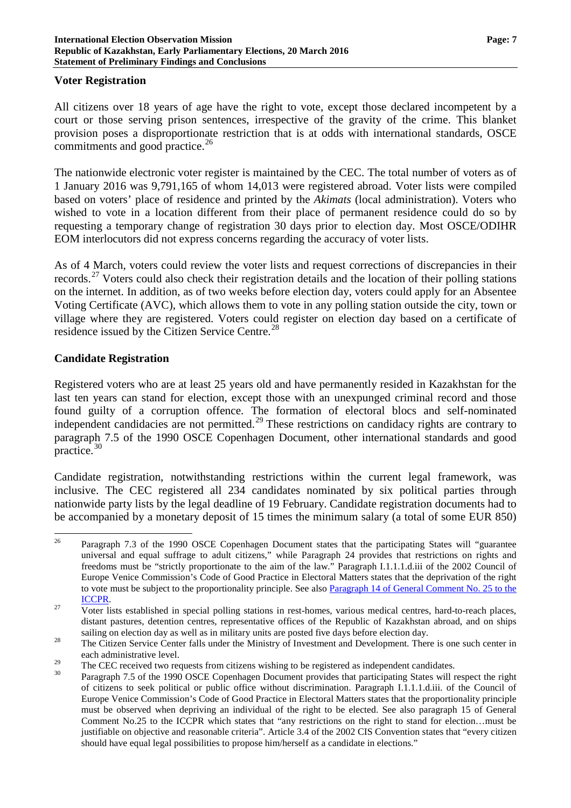### **Voter Registration**

All citizens over 18 years of age have the right to vote, except those declared incompetent by a

court or those serving prison sentences, irrespective of the gravity of the crime. This blanket provision poses a disproportionate restriction that is at odds with international standards, OSCE commitments and good practice.<sup>[26](#page-6-0)</sup>

The nationwide electronic voter register is maintained by the CEC. The total number of voters as of 1 January 2016 was 9,791,165 of whom 14,013 were registered abroad. Voter lists were compiled based on voters' place of residence and printed by the *Akimats* (local administration). Voters who wished to vote in a location different from their place of permanent residence could do so by requesting a temporary change of registration 30 days prior to election day. Most OSCE/ODIHR EOM interlocutors did not express concerns regarding the accuracy of voter lists.

As of 4 March, voters could review the voter lists and request corrections of discrepancies in their records.<sup>[27](#page-6-1)</sup> Voters could also check their registration details and the location of their polling stations on the internet. In addition, as of two weeks before election day, voters could apply for an Absentee Voting Certificate (AVC), which allows them to vote in any polling station outside the city, town or village where they are registered. Voters could register on election day based on a certificate of residence issued by the Citizen Service Centre.<sup>[28](#page-6-2)</sup>

# **Candidate Registration**

Registered voters who are at least 25 years old and have permanently resided in Kazakhstan for the last ten years can stand for election, except those with an unexpunged criminal record and those found guilty of a corruption offence. The formation of electoral blocs and self-nominated independent candidacies are not permitted.<sup>[29](#page-6-3)</sup> These restrictions on candidacy rights are contrary to paragraph 7.5 of the 1990 OSCE Copenhagen Document, other international standards and good practice.[30](#page-6-4)

Candidate registration, notwithstanding restrictions within the current legal framework, was inclusive. The CEC registered all 234 candidates nominated by six political parties through nationwide party lists by the legal deadline of 19 February. Candidate registration documents had to be accompanied by a monetary deposit of 15 times the minimum salary (a total of some EUR 850)

<span id="page-6-0"></span><sup>&</sup>lt;sup>26</sup> Paragraph 7.3 of the 1990 OSCE Copenhagen Document states that the participating States will "guarantee" universal and equal suffrage to adult citizens," while Paragraph 24 provides that restrictions on rights and freedoms must be "strictly proportionate to the aim of the law." Paragraph I.1.1.1.d.iii of the 2002 Council of Europe Venice Commission's Code of Good Practice in Electoral Matters states that the deprivation of the right to vote must be subject to the proportionality principle. See also [Paragraph](http://www.refworld.org/docid/453883fc22.html) 14 of General Comment No. 25 to the

<span id="page-6-1"></span><sup>&</sup>lt;sup>27</sup> Voter lists established in special polling stations in rest-homes, various medical centres, hard-to-reach places, distant pastures, detention centres, representative offices of the Republic of Kazakhstan abroad, and on ships sailing on election day as well as in military units are posted five days before election day.<br><sup>28</sup> The Citizen Service Center falls under the Ministry of Investment and Development. There is one such center in

<span id="page-6-2"></span>each administrative level.

<span id="page-6-4"></span><span id="page-6-3"></span><sup>&</sup>lt;sup>29</sup> The CEC received two requests from citizens wishing to be registered as independent candidates.<br><sup>30</sup> Paragraph 7.5 of the 1990 OSCE Copenhagen Document provides that participating States will respect the right of citizens to seek political or public office without discrimination. Paragraph I.1.1.1.d.iii. of the Council of Europe Venice Commission's Code of Good Practice in Electoral Matters states that the proportionality principle must be observed when depriving an individual of the right to be elected. See also paragraph 15 of General Comment No.25 to the ICCPR which states that "any restrictions on the right to stand for election…must be justifiable on objective and reasonable criteria". Article 3.4 of the 2002 CIS Convention states that "every citizen should have equal legal possibilities to propose him/herself as a candidate in elections."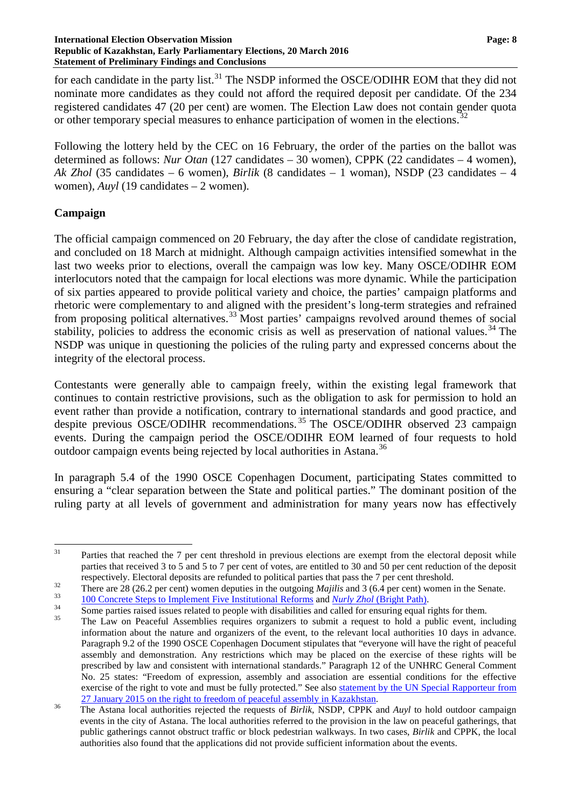for each candidate in the party list.<sup>[31](#page-7-0)</sup> The NSDP informed the OSCE/ODIHR EOM that they did not nominate more candidates as they could not afford the required deposit per candidate. Of the 234 registered candidates 47 (20 per cent) are women. The Election Law does not contain gender quota or other temporary special measures to enhance participation of women in the elections.<sup>[32](#page-7-1)</sup>

Following the lottery held by the CEC on 16 February, the order of the parties on the ballot was determined as follows: *Nur Otan* (127 candidates – 30 women), CPPK (22 candidates – 4 women), *Ak Zhol* (35 candidates – 6 women), *Birlik* (8 candidates – 1 woman), NSDP (23 candidates – 4 women), *Auyl* (19 candidates – 2 women).

## **Campaign**

The official campaign commenced on 20 February, the day after the close of candidate registration, and concluded on 18 March at midnight. Although campaign activities intensified somewhat in the last two weeks prior to elections, overall the campaign was low key. Many OSCE/ODIHR EOM interlocutors noted that the campaign for local elections was more dynamic. While the participation of six parties appeared to provide political variety and choice, the parties' campaign platforms and rhetoric were complementary to and aligned with the president's long-term strategies and refrained from proposing political alternatives.<sup>[33](#page-7-2)</sup> Most parties' campaigns revolved around themes of social stability, policies to address the economic crisis as well as preservation of national values.<sup>[34](#page-7-3)</sup> The NSDP was unique in questioning the policies of the ruling party and expressed concerns about the integrity of the electoral process.

Contestants were generally able to campaign freely, within the existing legal framework that continues to contain restrictive provisions, such as the obligation to ask for permission to hold an event rather than provide a notification, contrary to international standards and good practice, and despite previous OSCE/ODIHR recommendations. [35](#page-7-4) The OSCE/ODIHR observed 23 campaign events. During the campaign period the OSCE/ODIHR EOM learned of four requests to hold outdoor campaign events being rejected by local authorities in Astana.<sup>[36](#page-7-5)</sup>

In paragraph 5.4 of the 1990 OSCE Copenhagen Document, participating States committed to ensuring a "clear separation between the State and political parties." The dominant position of the ruling party at all levels of government and administration for many years now has effectively

<span id="page-7-3"></span><span id="page-7-2"></span>

<span id="page-7-0"></span> $31$  Parties that reached the 7 per cent threshold in previous elections are exempt from the electoral deposit while parties that received 3 to 5 and 5 to 7 per cent of votes, are entitled to 30 and 50 per cent reduction of the deposit

<span id="page-7-1"></span>respectively. Electoral deposits are refunded to political parties that pass the 7 per cent threshold.<br>There are 28 (26.2 per cent) women deputies in the outgoing *Majilis* and 3 (6.4 per cent) women in the Senate.<br> $\frac{10$ 

<span id="page-7-4"></span>information about the nature and organizers of the event, to the relevant local authorities 10 days in advance. Paragraph 9.2 of the 1990 OSCE Copenhagen Document stipulates that "everyone will have the right of peaceful assembly and demonstration. Any restrictions which may be placed on the exercise of these rights will be prescribed by law and consistent with international standards." Paragraph 12 of the UNHRC General Comment No. 25 states: "Freedom of expression, assembly and association are essential conditions for the effective exercise of the right to vote and must be fully protected." See also statement by the UN Special [Rapporteur](http://freeassembly.net/rapporteurpressnews/kazakhstan-press-release/) from 27 January 2015 on the right to freedom of peaceful assembly in Kazakhstan.

<span id="page-7-5"></span><sup>&</sup>lt;sup>36</sup> The Astana local authorities rejected the requests of *Birlik*, NSDP, CPPK and *Auyl* to hold outdoor campaign events in the city of Astana. The local authorities referred to the provision in the law on peaceful gatherings, that public gatherings cannot obstruct traffic or block pedestrian walkways. In two cases, *Birlik* and CPPK, the local authorities also found that the applications did not provide sufficient information about the events.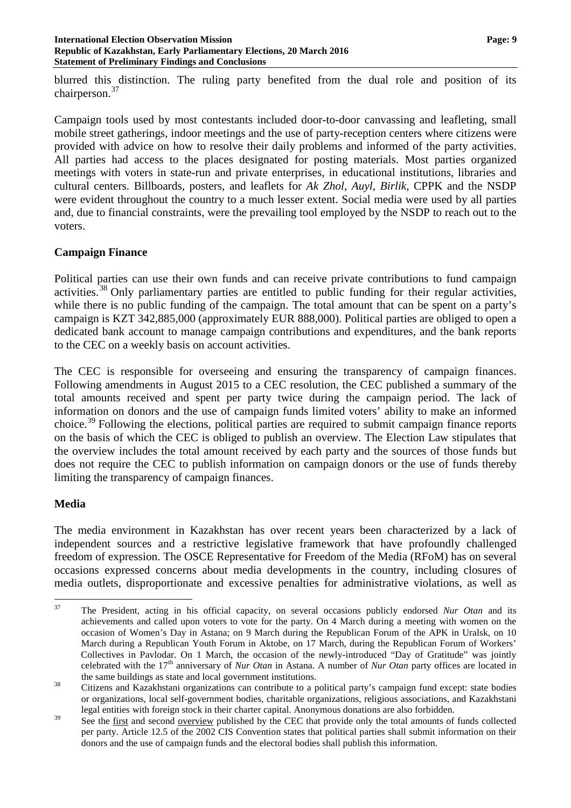blurred this distinction. The ruling party benefited from the dual role and position of its chairperson.<sup>[37](#page-8-0)</sup>

Campaign tools used by most contestants included door-to-door canvassing and leafleting, small mobile street gatherings, indoor meetings and the use of party-reception centers where citizens were provided with advice on how to resolve their daily problems and informed of the party activities. All parties had access to the places designated for posting materials. Most parties organized meetings with voters in state-run and private enterprises, in educational institutions, libraries and cultural centers. Billboards, posters, and leaflets for *Ak Zhol*, *Auyl, Birlik,* CPPK and the NSDP were evident throughout the country to a much lesser extent. Social media were used by all parties and, due to financial constraints, were the prevailing tool employed by the NSDP to reach out to the voters.

# **Campaign Finance**

Political parties can use their own funds and can receive private contributions to fund campaign activities.<sup>[38](#page-8-1)</sup> Only parliamentary parties are entitled to public funding for their regular activities, while there is no public funding of the campaign. The total amount that can be spent on a party's campaign is KZT 342,885,000 (approximately EUR 888,000). Political parties are obliged to open a dedicated bank account to manage campaign contributions and expenditures, and the bank reports to the CEC on a weekly basis on account activities.

The CEC is responsible for overseeing and ensuring the transparency of campaign finances. Following amendments in August 2015 to a CEC resolution, the CEC published a summary of the total amounts received and spent per party twice during the campaign period. The lack of information on donors and the use of campaign funds limited voters' ability to make an informed choice.[39](#page-8-2) Following the elections, political parties are required to submit campaign finance reports on the basis of which the CEC is obliged to publish an overview. The Election Law stipulates that the overview includes the total amount received by each party and the sources of those funds but does not require the CEC to publish information on campaign donors or the use of funds thereby limiting the transparency of campaign finances.

# **Media**

The media environment in Kazakhstan has over recent years been characterized by a lack of independent sources and a restrictive legislative framework that have profoundly challenged freedom of expression. The OSCE Representative for Freedom of the Media (RFoM) has on several occasions expressed concerns about media developments in the country, including closures of media outlets, disproportionate and excessive penalties for administrative violations, as well as

<span id="page-8-0"></span> <sup>37</sup> The President, acting in his official capacity, on several occasions publicly endorsed *Nur Otan* and its achievements and called upon voters to vote for the party. On 4 March during a meeting with women on the occasion of Women's Day in Astana; on 9 March during the Republican Forum of the APK in Uralsk, on 10 March during a Republican Youth Forum in Aktobe, on 17 March, during the Republican Forum of Workers' Collectives in Pavlodar. On 1 March, the occasion of the newly-introduced "Day of Gratitude" was jointly celebrated with the 17<sup>th</sup> anniversary of *Nur Otan* in Astana. A number of *Nur Otan* party offices are located in the same buildings as state and local government institutions.

<span id="page-8-1"></span><sup>&</sup>lt;sup>38</sup> Citizens and Kazakhstani organizations can contribute to a political party's campaign fund except: state bodies or organizations, local self-government bodies, charitable organizations, religious associations, and Kazakhstani legal entities with foreign stock in their charter capital. Anonymous donations are also forbidden.

<span id="page-8-2"></span><sup>&</sup>lt;sup>39</sup> See the <u>[first](http://www.election.kz/rus/news/news/index.php?ID=3076)</u> and second <u>[overview](http://www.election.kz/rus/news/news/index.php?ID=3198)</u> published by the CEC that provide only the total amounts of funds collected per party. Article 12.5 of the 2002 CIS Convention states that political parties shall submit information on their donors and the use of campaign funds and the electoral bodies shall publish this information.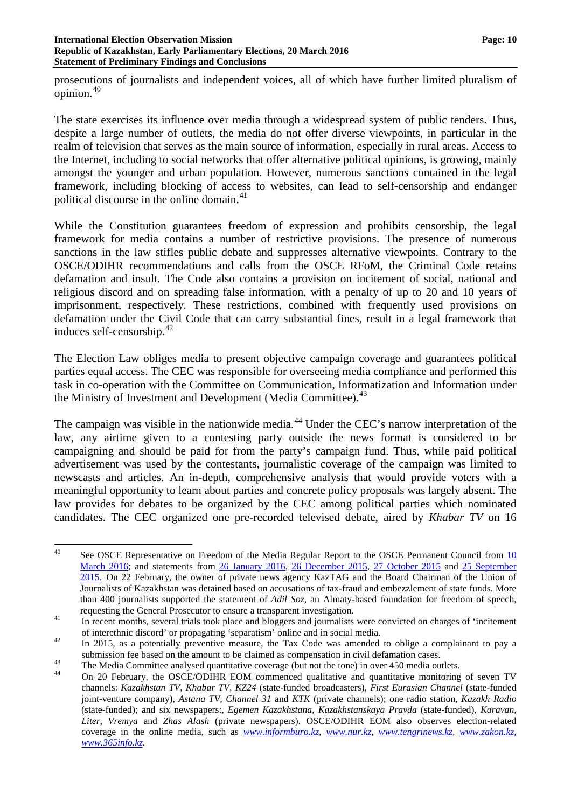prosecutions of journalists and independent voices, all of which have further limited pluralism of opinion.[40](#page-9-0)

The state exercises its influence over media through a widespread system of public tenders. Thus, despite a large number of outlets, the media do not offer diverse viewpoints, in particular in the realm of television that serves as the main source of information, especially in rural areas. Access to the Internet, including to social networks that offer alternative political opinions, is growing, mainly amongst the younger and urban population. However, numerous sanctions contained in the legal framework, including blocking of access to websites, can lead to self-censorship and endanger political discourse in the online domain.<sup>[41](#page-9-1)</sup>

While the Constitution guarantees freedom of expression and prohibits censorship, the legal framework for media contains a number of restrictive provisions. The presence of numerous sanctions in the law stifles public debate and suppresses alternative viewpoints. Contrary to the OSCE/ODIHR recommendations and calls from the OSCE RFoM, the Criminal Code retains defamation and insult. The Code also contains a provision on incitement of social, national and religious discord and on spreading false information, with a penalty of up to 20 and 10 years of imprisonment, respectively. These restrictions, combined with frequently used provisions on defamation under the Civil Code that can carry substantial fines, result in a legal framework that induces self-censorship. $42$ 

The Election Law obliges media to present objective campaign coverage and guarantees political parties equal access. The CEC was responsible for overseeing media compliance and performed this task in co-operation with the Committee on Communication, Informatization and Information under the Ministry of Investment and Development (Media Committee).<sup>[43](#page-9-3)</sup>

The campaign was visible in the nationwide media.<sup>[44](#page-9-4)</sup> Under the CEC's narrow interpretation of the law, any airtime given to a contesting party outside the news format is considered to be campaigning and should be paid for from the party's campaign fund. Thus, while paid political advertisement was used by the contestants, journalistic coverage of the campaign was limited to newscasts and articles. An in-depth, comprehensive analysis that would provide voters with a meaningful opportunity to learn about parties and concrete policy proposals was largely absent. The law provides for debates to be organized by the CEC among political parties which nominated candidates. The CEC organized one pre-recorded televised debate, aired by *Khabar TV* on 16

<span id="page-9-0"></span><sup>&</sup>lt;sup>40</sup> See OSCE Representative on Freedom of the Media Regular Report to the OSCE Permanent Council from [10](http://www.osce.org/pc/227291?download=true) [March](http://www.osce.org/pc/227291?download=true) 2016; and statements from 26 [January](http://www.osce.org/fom/218471) 2016, 26 [December](http://www.osce.org/fom/212731) 2015, 27 [October](http://www.osce.org/fom/194796) 2015 and 25 [September](http://www.osce.org/fom/185401) [2015.](http://www.osce.org/fom/185401) On 22 February, the owner of private news agency KazTAG and the Board Chairman of the Union of Journalists of Kazakhstan was detained based on accusations of tax-fraud and embezzlement of state funds. More than 400 journalists supported the statement of *Adil Soz*, an Almaty-based foundation for freedom of speech,

<span id="page-9-1"></span>requesting the General Prosecutor to ensure a transparent investigation.<br><sup>41</sup> In recent months, several trials took place and bloggers and journalists were convicted on charges of 'incitement

<span id="page-9-2"></span>of interethnic discord' or propagating 'separatism' online and in social media.<br><sup>42</sup> In 2015, as a potentially preventive measure, the Tax Code was amended to oblige a complainant to pay a submission fee based on the amount to be claimed as compensation in civil defamation cases.<br>The Media Committee analysed quantitative coverage (but not the tone) in over 450 media outlets.<br>On 20 February, the OSCE/ODIHR EO

<span id="page-9-4"></span><span id="page-9-3"></span>

channels: *Kazakhstan TV, Khabar TV, KZ24* (state-funded broadcasters)*, First Eurasian Channel* (state-funded joint-venture company)*, Astana TV, Channel 31* and *KTK* (private channels); one radio station, *Kazakh Radio* (state-funded); and six newspapers:*, Egemen Kazakhstana, Kazakhstanskaya Pravda* (state-funded), *Karavan, Liter, Vremya* and *Zhas Alash* (private newspapers). OSCE/ODIHR EOM also observes election-related coverage in the online media, such as *[www.informburo.kz,](http://www.informburo.kz/) [www.nur.kz,](http://www.nur.kz/) [www.tengrinews.kz,](http://www.tengrinews.kz/) [www.zakon.kz,](http://www.zakon.kz/) [www.365info.kz.](http://www.365info.kz/)*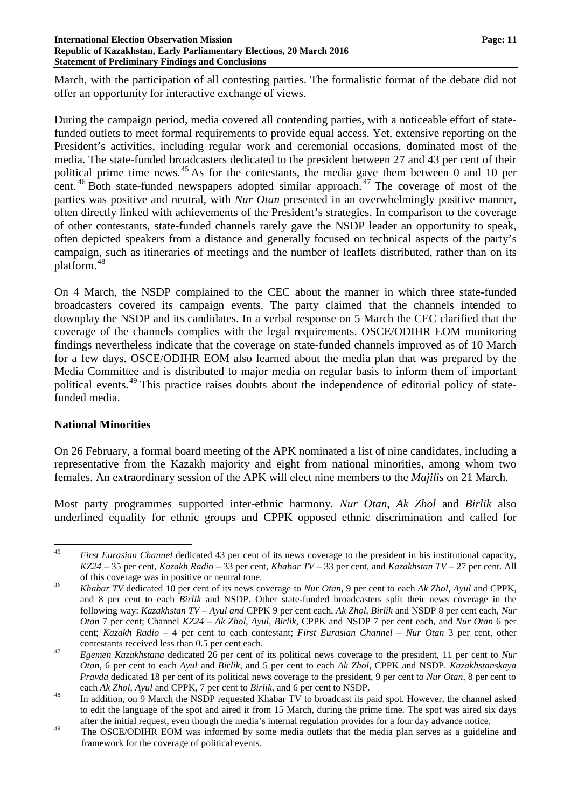#### **International Election Observation Mission Page: 11 Republic of Kazakhstan, Early Parliamentary Elections, 20 March 2016 Statement of Preliminary Findings and Conclusions**

March, with the participation of all contesting parties. The formalistic format of the debate did not offer an opportunity for interactive exchange of views.

During the campaign period, media covered all contending parties, with a noticeable effort of statefunded outlets to meet formal requirements to provide equal access. Yet, extensive reporting on the President's activities, including regular work and ceremonial occasions, dominated most of the media. The state-funded broadcasters dedicated to the president between 27 and 43 per cent of their political prime time news.<sup>[45](#page-10-0)</sup> As for the contestants, the media gave them between 0 and 10 per cent.<sup>[46](#page-10-1)</sup> Both state-funded newspapers adopted similar approach.<sup>[47](#page-10-2)</sup> The coverage of most of the parties was positive and neutral, with *Nur Otan* presented in an overwhelmingly positive manner, often directly linked with achievements of the President's strategies. In comparison to the coverage of other contestants, state-funded channels rarely gave the NSDP leader an opportunity to speak, often depicted speakers from a distance and generally focused on technical aspects of the party's campaign, such as itineraries of meetings and the number of leaflets distributed, rather than on its platform.[48](#page-10-3)

On 4 March, the NSDP complained to the CEC about the manner in which three state-funded broadcasters covered its campaign events. The party claimed that the channels intended to downplay the NSDP and its candidates. In a verbal response on 5 March the CEC clarified that the coverage of the channels complies with the legal requirements. OSCE/ODIHR EOM monitoring findings nevertheless indicate that the coverage on state-funded channels improved as of 10 March for a few days. OSCE/ODIHR EOM also learned about the media plan that was prepared by the Media Committee and is distributed to major media on regular basis to inform them of important political events.<sup>[49](#page-10-4)</sup> This practice raises doubts about the independence of editorial policy of statefunded media.

# **National Minorities**

On 26 February, a formal board meeting of the APK nominated a list of nine candidates, including a representative from the Kazakh majority and eight from national minorities, among whom two females. An extraordinary session of the APK will elect nine members to the *Majilis* on 21 March.

Most party programmes supported inter-ethnic harmony. *Nur Otan*, *Ak Zhol* and *Birlik* also underlined equality for ethnic groups and CPPK opposed ethnic discrimination and called for

<span id="page-10-0"></span> <sup>45</sup> *First Eurasian Channel* dedicated <sup>43</sup> per cent of its news coverage to the president in his institutional capacity, *KZ24* – 35 per cent, *Kazakh Radio* – 33 per cent, *Khabar TV* – 33 per cent, and *Kazakhstan TV* – 27 per cent. All

<span id="page-10-1"></span>of this coverage was in positive or neutral tone. <sup>46</sup> *Khabar TV* dedicated <sup>10</sup> per cent of its news coverage to *Nur Otan*, <sup>9</sup> per cent to each *Ak Zhol*, *Ayul* and CPPK, and 8 per cent to each *Birlik* and NSDP. Other state-funded broadcasters split their news coverage in the following way: *Kazakhstan TV – Ayul and* CPPK 9 per cent each, *Ak Zhol*, *Birlik* and NSDP 8 per cent each, *Nur Otan* 7 per cent; Channel *KZ24* – *Ak Zhol*, *Ayul*, *Birlik,* CPPK and NSDP 7 per cent each, and *Nur Otan* 6 per cent; *Kazakh Radio* – 4 per cent to each contestant; *First Eurasian Channel* – *Nur Otan* 3 per cent, other

<span id="page-10-2"></span>contestants received less than 0.5 per cent each. <sup>47</sup> *Egemen Kazakhstana* dedicated <sup>26</sup> per cent of its political news coverage to the president, <sup>11</sup> per cent to *Nur Otan*, 6 per cent to each *Ayul* and *Birlik*, and 5 per cent to each *Ak Zhol*, CPPK and NSDP. *Kazakhstanskaya Pravda* dedicated 18 per cent of its political news coverage to the president, 9 per cent to *Nur Otan*, 8 per cent to

<span id="page-10-3"></span><sup>&</sup>lt;sup>48</sup> In addition, on 9 March the NSDP requested Khabar TV to broadcast its paid spot. However, the channel asked to edit the language of the spot and aired it from 15 March, during the prime time. The spot was aired six days after the initial request, even though the media's internal regulation provides for a four day advance notice.

<span id="page-10-4"></span><sup>&</sup>lt;sup>49</sup> The OSCE/ODIHR EOM was informed by some media outlets that the media plan serves as a guideline and framework for the coverage of political events.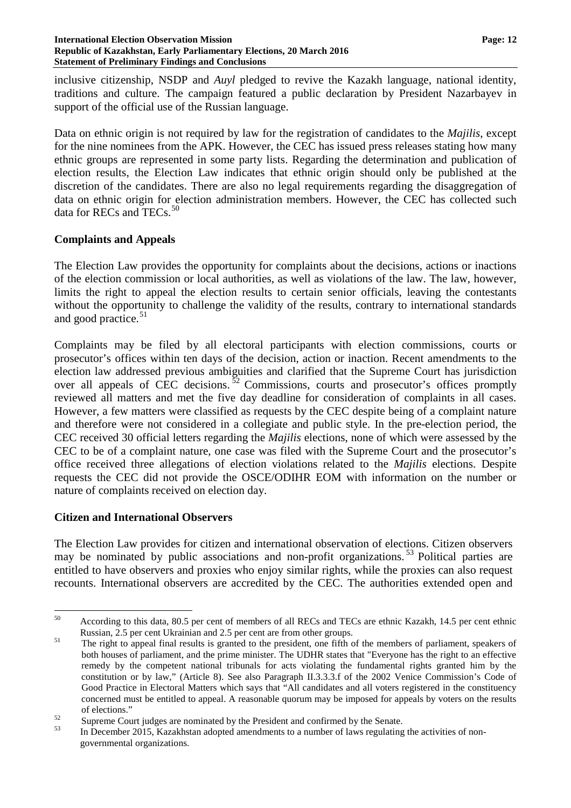#### **International Election Observation Mission Page: 12 Republic of Kazakhstan, Early Parliamentary Elections, 20 March 2016 Statement of Preliminary Findings and Conclusions**

inclusive citizenship, NSDP and *Auyl* pledged to revive the Kazakh language, national identity, traditions and culture. The campaign featured a public declaration by President Nazarbayev in support of the official use of the Russian language.

Data on ethnic origin is not required by law for the registration of candidates to the *Majilis*, except for the nine nominees from the APK. However, the CEC has issued press releases stating how many ethnic groups are represented in some party lists. Regarding the determination and publication of election results, the Election Law indicates that ethnic origin should only be published at the discretion of the candidates. There are also no legal requirements regarding the disaggregation of data on ethnic origin for election administration members. However, the CEC has collected such data for RECs and TECs.<sup>[50](#page-11-0)</sup>

## **Complaints and Appeals**

The Election Law provides the opportunity for complaints about the decisions, actions or inactions of the election commission or local authorities, as well as violations of the law. The law, however, limits the right to appeal the election results to certain senior officials, leaving the contestants without the opportunity to challenge the validity of the results, contrary to international standards and good practice.<sup>[51](#page-11-1)</sup>

Complaints may be filed by all electoral participants with election commissions, courts or prosecutor's offices within ten days of the decision, action or inaction. Recent amendments to the election law addressed previous ambiguities and clarified that the Supreme Court has jurisdiction over all appeals of CEC decisions.  $52$  Commissions, courts and prosecutor's offices promptly reviewed all matters and met the five day deadline for consideration of complaints in all cases. However, a few matters were classified as requests by the CEC despite being of a complaint nature and therefore were not considered in a collegiate and public style. In the pre-election period, the CEC received 30 official letters regarding the *Majilis* elections, none of which were assessed by the CEC to be of a complaint nature, one case was filed with the Supreme Court and the prosecutor's office received three allegations of election violations related to the *Majilis* elections. Despite requests the CEC did not provide the OSCE/ODIHR EOM with information on the number or nature of complaints received on election day.

### **Citizen and International Observers**

The Election Law provides for citizen and international observation of elections. Citizen observers may be nominated by public associations and non-profit organizations.<sup>[53](#page-11-3)</sup> Political parties are entitled to have observers and proxies who enjoy similar rights, while the proxies can also request recounts. International observers are accredited by the CEC. The authorities extended open and

<span id="page-11-0"></span> <sup>50</sup> According to this data, 80.5 per cent of members of all RECs and TECs are ethnic Kazakh, 14.5 per cent ethnic

<span id="page-11-1"></span>Russian, 2.5 per cent Ukrainian and 2.5 per cent are from other groups.<br><sup>51</sup> The right to appeal final results is granted to the president, one fifth of the members of parliament, speakers of both houses of parliament, and the prime minister. The UDHR states that "Everyone has the right to an effective remedy by the competent national tribunals for acts violating the fundamental rights granted him by the constitution or by law," (Article 8). See also Paragraph II.3.3.3.f of the 2002 Venice Commission's Code of Good Practice in Electoral Matters which says that "All candidates and all voters registered in the constituency concerned must be entitled to appeal. A reasonable quorum may be imposed for appeals by voters on the results <sup>52</sup> Supreme Court judges are nominated by the President and confirmed by the Senate.<br><sup>53</sup> In December 2015, Kazakhstan adopted amendments to a number of laws regulating the activities of non-

<span id="page-11-3"></span><span id="page-11-2"></span>

governmental organizations.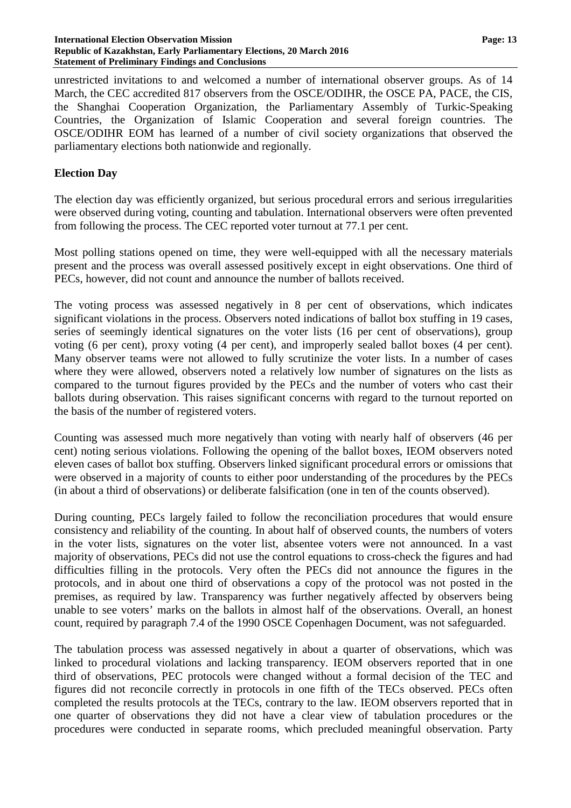unrestricted invitations to and welcomed a number of international observer groups. As of 14 March, the CEC accredited 817 observers from the OSCE/ODIHR, the OSCE PA, PACE, the CIS, the Shanghai Cooperation Organization, the Parliamentary Assembly of Turkic-Speaking Countries, the Organization of Islamic Cooperation and several foreign countries. The OSCE/ODIHR EOM has learned of a number of civil society organizations that observed the parliamentary elections both nationwide and regionally.

### **Election Day**

The election day was efficiently organized, but serious procedural errors and serious irregularities were observed during voting, counting and tabulation. International observers were often prevented from following the process. The CEC reported voter turnout at 77.1 per cent.

Most polling stations opened on time, they were well-equipped with all the necessary materials present and the process was overall assessed positively except in eight observations. One third of PECs, however, did not count and announce the number of ballots received.

The voting process was assessed negatively in 8 per cent of observations, which indicates significant violations in the process. Observers noted indications of ballot box stuffing in 19 cases, series of seemingly identical signatures on the voter lists (16 per cent of observations), group voting (6 per cent), proxy voting (4 per cent), and improperly sealed ballot boxes (4 per cent). Many observer teams were not allowed to fully scrutinize the voter lists. In a number of cases where they were allowed, observers noted a relatively low number of signatures on the lists as compared to the turnout figures provided by the PECs and the number of voters who cast their ballots during observation. This raises significant concerns with regard to the turnout reported on the basis of the number of registered voters.

Counting was assessed much more negatively than voting with nearly half of observers (46 per cent) noting serious violations. Following the opening of the ballot boxes, IEOM observers noted eleven cases of ballot box stuffing. Observers linked significant procedural errors or omissions that were observed in a majority of counts to either poor understanding of the procedures by the PECs (in about a third of observations) or deliberate falsification (one in ten of the counts observed).

During counting, PECs largely failed to follow the reconciliation procedures that would ensure consistency and reliability of the counting. In about half of observed counts, the numbers of voters in the voter lists, signatures on the voter list, absentee voters were not announced. In a vast majority of observations, PECs did not use the control equations to cross-check the figures and had difficulties filling in the protocols. Very often the PECs did not announce the figures in the protocols, and in about one third of observations a copy of the protocol was not posted in the premises, as required by law. Transparency was further negatively affected by observers being unable to see voters' marks on the ballots in almost half of the observations. Overall, an honest count, required by paragraph 7.4 of the 1990 OSCE Copenhagen Document, was not safeguarded.

The tabulation process was assessed negatively in about a quarter of observations, which was linked to procedural violations and lacking transparency. IEOM observers reported that in one third of observations, PEC protocols were changed without a formal decision of the TEC and figures did not reconcile correctly in protocols in one fifth of the TECs observed. PECs often completed the results protocols at the TECs, contrary to the law. IEOM observers reported that in one quarter of observations they did not have a clear view of tabulation procedures or the procedures were conducted in separate rooms, which precluded meaningful observation. Party